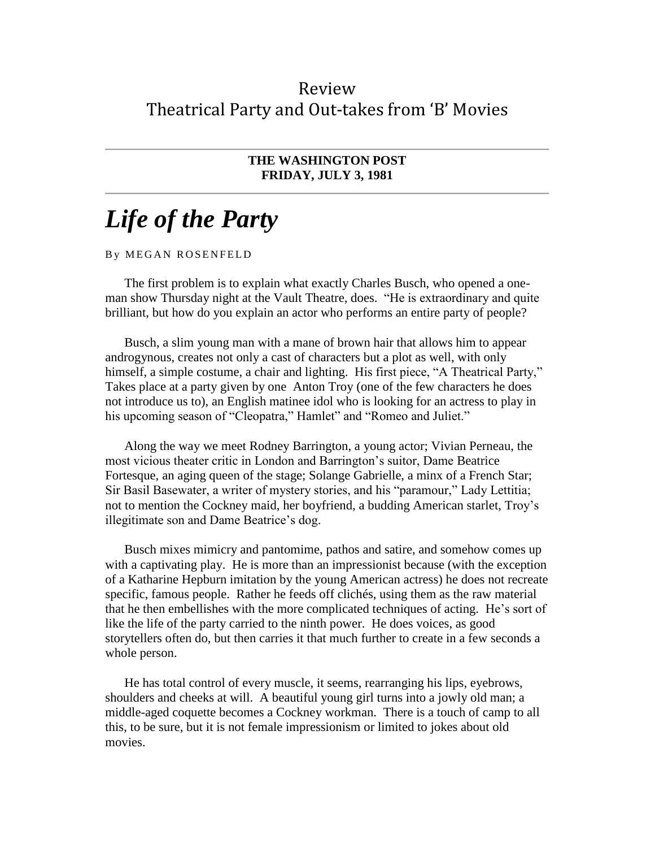## Review Theatrical Party and Out-takes from 'B' Movies

## **THE WASHINGTON POST FRIDAY, JULY 3, 1981**

## *Life of the Party*

## By MEGAN ROSENFELD

The first problem is to explain what exactly Charles Busch, who opened a oneman show Thursday night at the Vault Theatre, does. "He is extraordinary and quite brilliant, but how do you explain an actor who performs an entire party of people?

Busch, a slim young man with a mane of brown hair that allows him to appear androgynous, creates not only a cast of characters but a plot as well, with only himself, a simple costume, a chair and lighting. His first piece, "A Theatrical Party," Takes place at a party given by one Anton Troy (one of the few characters he does not introduce us to), an English matinee idol who is looking for an actress to play in his upcoming season of "Cleopatra," Hamlet" and "Romeo and Juliet."

Along the way we meet Rodney Barrington, a young actor; Vivian Perneau, the most vicious theater critic in London and Barrington's suitor, Dame Beatrice Fortesque, an aging queen of the stage; Solange Gabrielle, a minx of a French Star; Sir Basil Basewater, a writer of mystery stories, and his "paramour," Lady Lettitia; not to mention the Cockney maid, her boyfriend, a budding American starlet, Troy's illegitimate son and Dame Beatrice's dog.

Busch mixes mimicry and pantomime, pathos and satire, and somehow comes up with a captivating play. He is more than an impressionist because (with the exception of a Katharine Hepburn imitation by the young American actress) he does not recreate specific, famous people. Rather he feeds off clichés, using them as the raw material that he then embellishes with the more complicated techniques of acting. He's sort of like the life of the party carried to the ninth power. He does voices, as good storytellers often do, but then carries it that much further to create in a few seconds a whole person.

He has total control of every muscle, it seems, rearranging his lips, eyebrows, shoulders and cheeks at will. A beautiful young girl turns into a jowly old man; a middle-aged coquette becomes a Cockney workman. There is a touch of camp to all this, to be sure, but it is not female impressionism or limited to jokes about old movies.